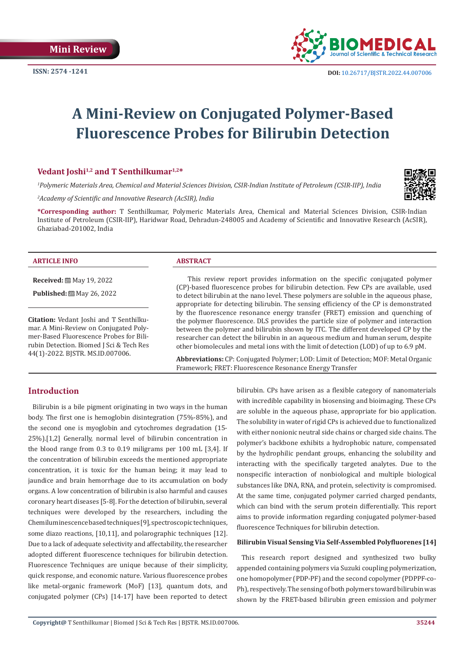

# **A Mini-Review on Conjugated Polymer-Based Fluorescence Probes for Bilirubin Detection**

# **Vedant Joshi1,2 and T Senthilkumar1,2\***

*1 Polymeric Materials Area, Chemical and Material Sciences Division, CSIR-Indian Institute of Petroleum (CSIR-IIP), India*

*2 Academy of Scientific and Innovative Research (AcSIR), India*

**\*Corresponding author:** T Senthilkumar, Polymeric Materials Area, Chemical and Material Sciences Division, CSIR-Indian Institute of Petroleum (CSIR-IIP), Haridwar Road, Dehradun-248005 and Academy of Scientific and Innovative Research (AcSIR), Ghaziabad-201002, India

#### **ARTICLE INFO ABSTRACT**

**Received:** ■ May 19, 2022

**Published:** ■ May 26, 2022

**Citation:** Vedant Joshi and T Senthilkumar. A Mini-Review on Conjugated Polymer-Based Fluorescence Probes for Bilirubin Detection. Biomed J Sci & Tech Res 44(1)-2022. BJSTR. MS.ID.007006.

This review report provides information on the specific conjugated polymer (CP)-based fluorescence probes for bilirubin detection. Few CPs are available, used to detect bilirubin at the nano level. These polymers are soluble in the aqueous phase, appropriate for detecting bilirubin. The sensing efficiency of the CP is demonstrated by the fluorescence resonance energy transfer (FRET) emission and quenching of the polymer fluorescence. DLS provides the particle size of polymer and interaction between the polymer and bilirubin shown by ITC. The different developed CP by the researcher can detect the bilirubin in an aqueous medium and human serum, despite other biomolecules and metal ions with the limit of detection (LOD) of up to 6.9 pM.

**Abbreviations:** CP: Conjugated Polymer; LOD: Limit of Detection; MOF: Metal Organic Framework; FRET: Fluorescence Resonance Energy Transfer

## **Introduction**

Bilirubin is a bile pigment originating in two ways in the human body. The first one is hemoglobin disintegration (75%-85%), and the second one is myoglobin and cytochromes degradation (15- 25%).[1,2] Generally, normal level of bilirubin concentration in the blood range from 0.3 to 0.19 miligrams per 100 mL [3,4]. If the concentration of bilirubin exceeds the mentioned appropriate concentration, it is toxic for the human being; it may lead to jaundice and brain hemorrhage due to its accumulation on body organs. A low concentration of bilirubin is also harmful and causes coronary heart diseases [5-8]. For the detection of bilirubin, several techniques were developed by the researchers, including the Chemiluminescence based techniques [9], spectroscopic techniques, some diazo reactions, [10,11], and polarographic techniques [12]. Due to a lack of adequate selectivity and affectability, the researcher adopted different fluorescence techniques for bilirubin detection. Fluorescence Techniques are unique because of their simplicity, quick response, and economic nature. Various fluorescence probes like metal-organic framework (MoF) [13], quantum dots, and conjugated polymer (CPs) [14-17] have been reported to detect

bilirubin. CPs have arisen as a flexible category of nanomaterials with incredible capability in biosensing and bioimaging. These CPs are soluble in the aqueous phase, appropriate for bio application. The solubility in water of rigid CPs is achieved due to functionalized with either nonionic neutral side chains or charged side chains. The polymer's backbone exhibits a hydrophobic nature, compensated by the hydrophilic pendant groups, enhancing the solubility and interacting with the specifically targeted analytes. Due to the nonspecific interaction of nonbiological and multiple biological substances like DNA, RNA, and protein, selectivity is compromised. At the same time, conjugated polymer carried charged pendants, which can bind with the serum protein differentially. This report aims to provide information regarding conjugated polymer-based fluorescence Techniques for bilirubin detection.

#### **Bilirubin Visual Sensing Via Self-Assembled Polyfluorenes [14]**

This research report designed and synthesized two bulky appended containing polymers via Suzuki coupling polymerization, one homopolymer (PDP-PF) and the second copolymer (PDPPF-co-Ph), respectively. The sensing of both polymers toward bilirubin was shown by the FRET-based bilirubin green emission and polymer

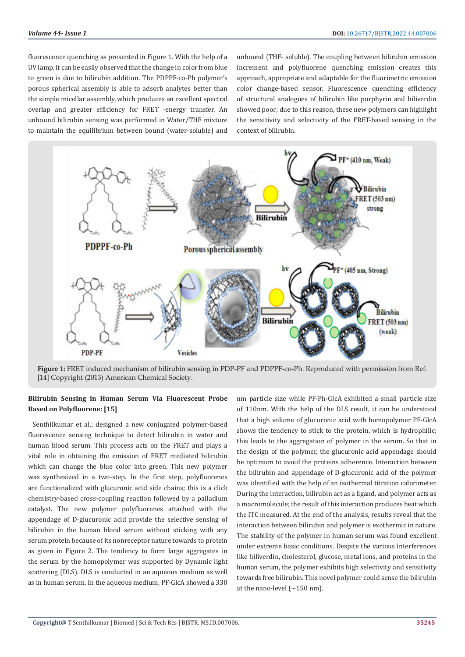fluorescence quenching as presented in Figure 1. With the help of a UV lamp, it can be easily observed that the change in color from blue to green is due to bilirubin addition. The PDPPF-co-Ph polymer's porous spherical assembly is able to adsorb analytes better than the simple micellar assembly, which produces an excellent spectral overlap and greater efficiency for FRET -energy transfer. An unbound bilirubin sensing was performed in Water/THF mixture to maintain the equilibrium between bound (water-soluble) and

unbound (THF- soluble). The coupling between bilirubin emission increment and polyfluorene quenching emission creates this approach, appropriate and adaptable for the fluorimetric emission color change-based sensor. Fluorescence quenching efficiency of structural analogues of bilirubin like porphyrin and biliverdin showed poor; due to this reason, these new polymers can highlight the sensitivity and selectivity of the FRET-based sensing in the context of bilirubin.



**Figure 1:** FRET induced mechanism of bilirubin sensing in PDP-PF and PDPPF-co-Ph. Reproduced with permission from Ref. [14] Copyright (2013) American Chemical Society.

#### **Bilirubin Sensing in Human Serum Via Fluorescent Probe Based on Polyfluorene: [15]**

Senthilkumar et al.; designed a new conjugated polymer-based fluorescence sensing technique to detect bilirubin in water and human blood serum. This process acts on the FRET and plays a vital role in obtaining the emission of FRET mediated bilirubin which can change the blue color into green. This new polymer was synthesized in a two-step. In the first step, polyfluorenes are functionalized with glucuronic acid side chains; this is a click chemistry-based cross-coupling reaction followed by a palladium catalyst. The new polymer polyfluorenes attached with the appendage of D-glucuronic acid provide the selective sensing of bilirubin in the human blood serum without sticking with any serum protein because of its nonreceptor nature towards to protein as given in Figure 2. The tendency to form large aggregates in the serum by the homopolymer was supported by Dynamic light scattering (DLS). DLS is conducted in an aqueous medium as well as in human serum. In the aqueous medium, PF-GlcA showed a 330

nm particle size while PF-Ph-GlcA exhibited a small particle size of 110nm. With the help of the DLS result, it can be understood that a high volume of glucuronic acid with homopolymer PF-GlcA shows the tendency to stick to the protein, which is hydrophilic; this leads to the aggregation of polymer in the serum. So that in the design of the polymer, the glucuronic acid appendage should be optimum to avoid the proteins adherence. Interaction between the bilirubin and appendage of D-glucuronic acid of the polymer was identified with the help of an isothermal titration calorimeter. During the interaction, bilirubin act as a ligand, and polymer acts as a macromolecule; the result of this interaction produces heat which the ITC measured. At the end of the analysis, results reveal that the interaction between bilirubin and polymer is exothermic in nature. The stability of the polymer in human serum was found excellent under extreme basic conditions. Despite the various interferences like biliverdin, cholesterol, glucose, metal ions, and proteins in the human serum, the polymer exhibits high selectivity and sensitivity towards free bilirubin. This novel polymer could sense the bilirubin at the nano-level (∼150 nm).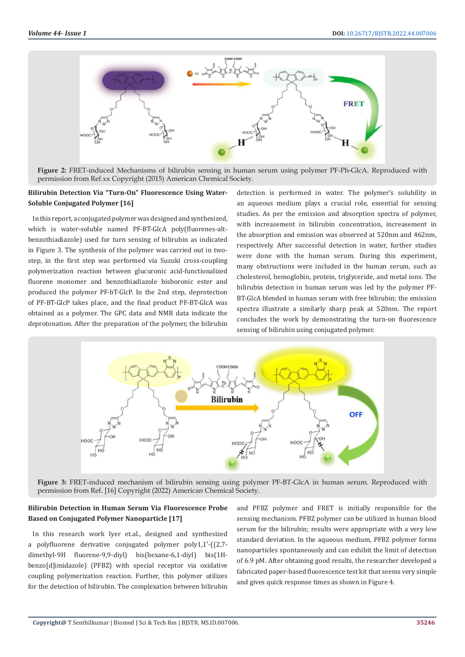

**Figure 2:** FRET-induced Mechanisms of bilirubin sensing in human serum using polymer PF-Ph-GlcA. Reproduced with permission from Ref.xx Copyright (2015) American Chemical Society.

## **Bilirubin Detection Via "Turn-On" Fluorescence Using Water-Soluble Conjugated Polymer [16]**

In this report, a conjugated polymer was designed and synthesized, which is water-soluble named PF-BT-GlcA poly(fluorenes-altbenzothiadiazole) used for turn sensing of bilirubin as indicated in Figure 3. The synthesis of the polymer was carried out in twostep, in the first step was performed via Suzuki cross-coupling polymerization reaction between glucuronic acid-functionalized fluorene monomer and benzothiadiazole bisboronic ester and produced the polymer PF-bT-GlcP. In the 2nd step, deprotection of PF-BT-GlcP takes place, and the final product PF-BT-GlcA was obtained as a polymer. The GPC data and NMR data indicate the deprotonation. After the preparation of the polymer, the bilirubin

detection is performed in water. The polymer's solubility in an aqueous medium plays a crucial role, essential for sensing studies. As per the emission and absorption spectra of polymer, with increasement in bilirubin concentration, increasement in the absorption and emission was observed at 520nm and 462nm, respectively. After successful detection in water, further studies were done with the human serum. During this experiment, many obstructions were included in the human serum, such as cholesterol, hemoglobin, protein, triglyceride, and metal ions. The bilirubin detection in human serum was led by the polymer PF-BT-GlcA blended in human serum with free bilirubin; the emission spectra illustrate a similarly sharp peak at 520nm. The report concludes the work by demonstrating the turn-on fluorescence sensing of bilirubin using conjugated polymer.



**Figure 3:** FRET-induced mechanism of bilirubin sensing using polymer PF-BT-GlcA in human serum. Reproduced with permission from Ref. [16] Copyright (2022) American Chemical Society.

# **Bilirubin Detection in Human Serum Via Fluorescence Probe Based on Conjugated Polymer Nanoparticle [17]**

In this research work Iyer et.al., designed and synthesized a polyfluorene derivative conjugated polymer poly1,1′-((2,7 dimethyl-9H fluorene-9,9-diyl) bis(hexane-6,1-diyl) bis(1Hbenzo[d]imidazole) (PFBZ) with special receptor via oxidative coupling polymerization reaction. Further, this polymer utilizes for the detection of bilirubin. The complexation between bilirubin

and PFBZ polymer and FRET is initially responsible for the sensing mechanism. PFBZ polymer can be utilized in human blood serum for the bilirubin; results were appropriate with a very low standard deviation. In the aqueous medium, PFBZ polymer forms nanoparticles spontaneously and can exhibit the limit of detection of 6.9 pM. After obtaining good results, the researcher developed a fabricated paper-based fluorescence test kit that seems very simple and gives quick response times as shown in Figure 4.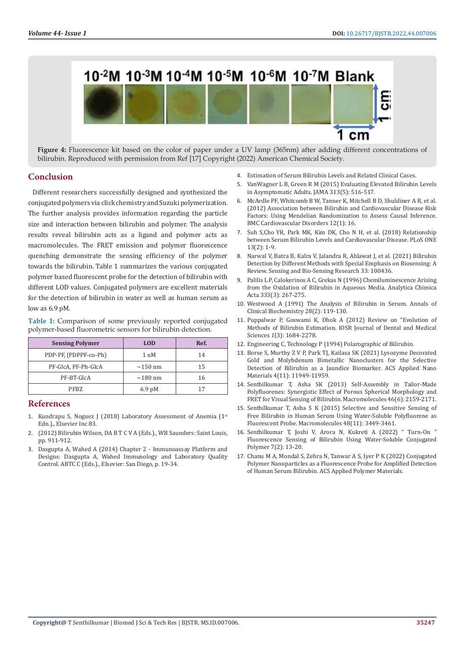

**Figure 4:** Fluorescence kit based on the color of paper under a UV lamp (365nm) after adding different concentrations of bilirubin. Reproduced with permission from Ref [17] Copyright (2022) American Chemical Society.

#### **Conclusion**

Different researchers successfully designed and synthesized the conjugated polymers via click chemistry and Suzuki polymerization. The further analysis provides information regarding the particle size and interaction between bilirubin and polymer. The analysis results reveal bilirubin acts as a ligand and polymer acts as macromolecules. The FRET emission and polymer fluorescence quenching demonstrate the sensing efficiency of the polymer towards the bilirubin. Table 1 summarizes the various conjugated polymer based fluorescent probe for the detection of bilirubin with different LOD values. Conjugated polymers are excellent materials for the detection of bilirubin in water as well as human serum as low as 6.9 pM.

**Table 1:** Comparison of some previously reported conjugated polymer-based fluorometric sensors for bilirubin detection.

| <b>Sensing Polymer</b> | <b>LOD</b>       | Ref. |
|------------------------|------------------|------|
| PDP-PF, (PDPPF-co-Ph)  | $1 \text{ nM}$   | 14   |
| PF-GlcA, PF-Ph-GlcA    | $\sim$ 150 nm    | 15   |
| PF-BT-GlcA             | $\sim$ 180 nm    | 16   |
| PFBZ                   | $6.9 \text{ pM}$ | 17   |

#### **References**

- 1. Kundrapu S, Noguez J (2018) Laboratory Assessment of Anemia (1st Edn.)., Elsevier Inc 83.
- 2. (2012) Bilirubin Wilson, DA B T C V A (Eds.)., WB Saunders: Saint Louis, pp. 911-912.
- 3. Dasgupta A, Wahed A (2014) Chapter 2 Immunoassay Platform and Designs: Dasgupta A, Wahed Immunology and Laboratory Quality Control. ABTC C (Eds.)., Elsevier: San Diego, p. 19-34.
- 4. Estimation of Serum Bilirubin Levels and Related Clinical Cases.
- 5. [VanWagner L B, Green R M \(2015\) Evaluating Elevated Bilirubin Levels](https://www.ncbi.nlm.nih.gov/pmc/articles/PMC4424929/) [in Asymptomatic Adults. JAMA 313\(5\): 516-517.](https://www.ncbi.nlm.nih.gov/pmc/articles/PMC4424929/)
- 6. [McArdle PF, Whitcomb B W, Tanner K, Mitchell B D, Shuldiner A R, et al.](https://bmccardiovascdisord.biomedcentral.com/articles/10.1186/1471-2261-12-16) [\(2012\) Association between Bilirubin and Cardiovascular Disease Risk](https://bmccardiovascdisord.biomedcentral.com/articles/10.1186/1471-2261-12-16) [Factors: Using Mendelian Randomization to Assess Causal Inference.](https://bmccardiovascdisord.biomedcentral.com/articles/10.1186/1471-2261-12-16) [BMC Cardiovascular Disorders 12\(1\): 16.](https://bmccardiovascdisord.biomedcentral.com/articles/10.1186/1471-2261-12-16)
- 7. [Suh S,Cho YR, Park MK, Kim DK, Cho N H, et al. \(2018\) Relationship](https://www.ncbi.nlm.nih.gov/pmc/articles/PMC5814053/) [between Serum Bilirubin Levels and Cardiovascular Disease. PLoS ONE](https://www.ncbi.nlm.nih.gov/pmc/articles/PMC5814053/) [13\(2\): 1-9.](https://www.ncbi.nlm.nih.gov/pmc/articles/PMC5814053/)
- 8. [Narwal V, Batra B, Kalra V, Jalandra R, Ahlawat J, et al. \(2021\) Bilirubin](https://www.researchgate.net/publication/352517555_Bilirubin_detection_by_different_methods_with_special_emphasis_on_biosensing_A_review) [Detection by Different Methods with Special Emphasis on Biosensing: A](https://www.researchgate.net/publication/352517555_Bilirubin_detection_by_different_methods_with_special_emphasis_on_biosensing_A_review) [Review. Sensing and Bio-Sensing Research 33: 100436.](https://www.researchgate.net/publication/352517555_Bilirubin_detection_by_different_methods_with_special_emphasis_on_biosensing_A_review)
- 9. [Palilis L P, Calokerinos A C, Grekas N \(1996\) Chemiluminescence Arising](https://www.sciencedirect.com/science/article/abs/pii/0003267096002796) [from the Oxidation of Bilirubin in Aqueous Media. Analytica Chimica](https://www.sciencedirect.com/science/article/abs/pii/0003267096002796) [Acta 333\(3\): 267-275.](https://www.sciencedirect.com/science/article/abs/pii/0003267096002796)
- 10. [Westwood A \(1991\) The Analysis of Bilirubin in Serum. Annals of](https://pubmed.ncbi.nlm.nih.gov/1859150/) [Clinical Biochemistry 28\(2\): 119-130.](https://pubmed.ncbi.nlm.nih.gov/1859150/)
- 11. [Puppalwar P, Goswami K, Dhok A \(2012\) Review on "Evolution of](https://www.researchgate.net/publication/232746309_Review_on_Evolution_of_Methods_of_Bilirubin_Estimationhttps:/www.researchgate.net/publication/232746309_Review_on_Evolution_of_Methods_of_Bilirubin_Estimation) [Methods of Bilirubin Estimation. IOSR](https://www.researchgate.net/publication/232746309_Review_on_Evolution_of_Methods_of_Bilirubin_Estimationhttps:/www.researchgate.net/publication/232746309_Review_on_Evolution_of_Methods_of_Bilirubin_Estimation) Journal of Dental and Medical Sciences *1*[\(3\): 1684-2278.](https://www.researchgate.net/publication/232746309_Review_on_Evolution_of_Methods_of_Bilirubin_Estimationhttps:/www.researchgate.net/publication/232746309_Review_on_Evolution_of_Methods_of_Bilirubin_Estimation)
- 12. Engineering C, Technology P (1994) Polarographic of Bilirubin.
- 13. [Borse S, Murthy Z V P, Park TJ, Kailasa SK \(2021\) Lysozyme Decorated](https://pubs.acs.org/doi/full/10.1021/acsanm.1c02515) [Gold and Molybdenum Bimetallic Nanoclusters for the Selective](https://pubs.acs.org/doi/full/10.1021/acsanm.1c02515) [Detection of Bilirubin as a Jaundice Biomarker. ACS Applied Nano](https://pubs.acs.org/doi/full/10.1021/acsanm.1c02515) [Materials 4\(11\): 11949-11959.](https://pubs.acs.org/doi/full/10.1021/acsanm.1c02515)
- 14. [Senthilkumar T, Asha SK \(2013\) Self-Assembly in Tailor-Made](https://www.researchgate.net/publication/258806108_Self-Assembly_in_Tailor-Made_Polyfluorenes_Synergistic_Effect_of_Porous_Spherical_Morphology_and_FRET_for_Visual_Sensing_of_Bilirubin) [Polyfluorenes: Synergistic Effect of Porous Spherical Morphology and](https://www.researchgate.net/publication/258806108_Self-Assembly_in_Tailor-Made_Polyfluorenes_Synergistic_Effect_of_Porous_Spherical_Morphology_and_FRET_for_Visual_Sensing_of_Bilirubin) [FRET for Visual Sensing of Bilirubin. Macromolecules 46\(6\): 2159-2171.](https://www.researchgate.net/publication/258806108_Self-Assembly_in_Tailor-Made_Polyfluorenes_Synergistic_Effect_of_Porous_Spherical_Morphology_and_FRET_for_Visual_Sensing_of_Bilirubin)
- 15. [Senthilkumar T, Asha S K \(2015\) Selective and Sensitive Sensing of](https://pubs.acs.org/doi/abs/10.1021/acs.macromol.5b00043) [Free Bilirubin in Human Serum Using Water-Soluble Polyfluorene as](https://pubs.acs.org/doi/abs/10.1021/acs.macromol.5b00043) [Fluorescent Probe. Macromolecules 48\(11\): 3449-3461.](https://pubs.acs.org/doi/abs/10.1021/acs.macromol.5b00043)
- 16. Senthilkumar T, Joshi V, Arora N, Kukreti A (2022) " Turn-On " Fluorescence Sensing of Bilirubin Using Water-Soluble Conjugated Polymer 7(2): 13-20.
- 17. [Chanu M A, Mondal S, Zehra N, Tanwar A S, Iyer P K \(2022\) Conjugated](https://pubs.acs.org/doi/10.1021/acsapm.2c00092) [Polymer Nanoparticles as a Fluorescence Probe for Amplified Detection](https://pubs.acs.org/doi/10.1021/acsapm.2c00092) [of Human Serum Bilirubin. ACS Applied Polymer Materials.](https://pubs.acs.org/doi/10.1021/acsapm.2c00092)